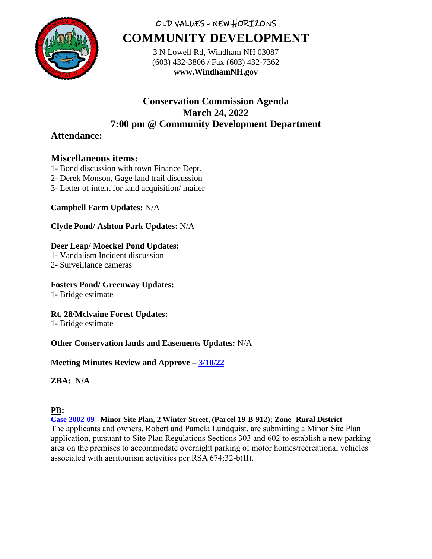

# OLD VALUES - NEW HORIZONS **COMMUNITY DEVELOPMENT**

3 N Lowell Rd, Windham NH 03087 (603) 432-3806 / Fax (603) 432-7362 **www.WindhamNH.gov**

## **Conservation Commission Agenda March 24, 2022 7:00 pm @ Community Development Department**

## **Attendance:**

## **Miscellaneous items:**

- 1- Bond discussion with town Finance Dept.
- 2- Derek Monson, Gage land trail discussion
- 3- Letter of intent for land acquisition/ mailer

### **Campbell Farm Updates:** N/A

#### **Clyde Pond/ Ashton Park Updates:** N/A

#### **Deer Leap/ Moeckel Pond Updates:**

- 1- Vandalism Incident discussion
- 2- Surveillance cameras

#### **Fosters Pond/ Greenway Updates:**

1- Bridge estimate

### **Rt. 28/Mclvaine Forest Updates:**

1- Bridge estimate

#### **Other Conservation lands and Easements Updates:** N/A

### **Meeting Minutes Review and Approve – [3/10/22](file://///192.168.40.10/Planning/Conservation/Conservation%20Minutes/2022/February/02_24_2022%20-%20CC%20Draft.docx)**

### **ZBA: N/A**

### **PB:**

**[Case 2002-09](https://www.windhamnh.gov/DocumentCenter/Index/935)** –**Minor Site Plan, 2 Winter Street, (Parcel 19-B-912); Zone- Rural District** The applicants and owners, Robert and Pamela Lundquist, are submitting a Minor Site Plan application, pursuant to Site Plan Regulations Sections 303 and 602 to establish a new parking area on the premises to accommodate overnight parking of motor homes/recreational vehicles associated with agritourism activities per RSA 674:32-b(II).